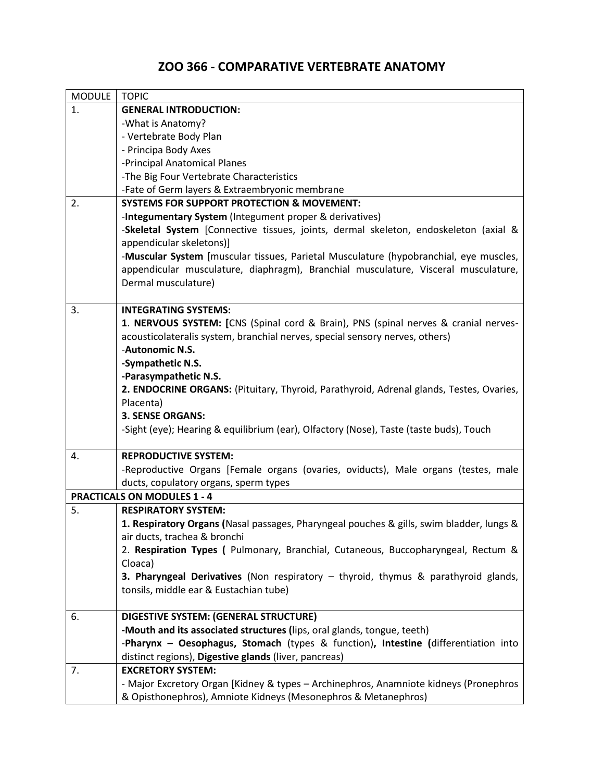# **ZOO 366 - COMPARATIVE VERTEBRATE ANATOMY**

| <b>MODULE</b>                      | <b>TOPIC</b>                                                                             |  |
|------------------------------------|------------------------------------------------------------------------------------------|--|
| 1.                                 | <b>GENERAL INTRODUCTION:</b>                                                             |  |
|                                    | -What is Anatomy?                                                                        |  |
|                                    | - Vertebrate Body Plan                                                                   |  |
|                                    | - Principa Body Axes                                                                     |  |
|                                    | -Principal Anatomical Planes                                                             |  |
|                                    | -The Big Four Vertebrate Characteristics                                                 |  |
|                                    | -Fate of Germ layers & Extraembryonic membrane                                           |  |
| 2.                                 | <b>SYSTEMS FOR SUPPORT PROTECTION &amp; MOVEMENT:</b>                                    |  |
|                                    | -Integumentary System (Integument proper & derivatives)                                  |  |
|                                    | -Skeletal System [Connective tissues, joints, dermal skeleton, endoskeleton (axial &     |  |
|                                    | appendicular skeletons)]                                                                 |  |
|                                    | -Muscular System [muscular tissues, Parietal Musculature (hypobranchial, eye muscles,    |  |
|                                    | appendicular musculature, diaphragm), Branchial musculature, Visceral musculature,       |  |
|                                    | Dermal musculature)                                                                      |  |
| 3.                                 | <b>INTEGRATING SYSTEMS:</b>                                                              |  |
|                                    | 1. NERVOUS SYSTEM: [CNS (Spinal cord & Brain), PNS (spinal nerves & cranial nerves-      |  |
|                                    | acousticolateralis system, branchial nerves, special sensory nerves, others)             |  |
|                                    | -Autonomic N.S.                                                                          |  |
|                                    | -Sympathetic N.S.                                                                        |  |
|                                    | -Parasympathetic N.S.                                                                    |  |
|                                    | 2. ENDOCRINE ORGANS: (Pituitary, Thyroid, Parathyroid, Adrenal glands, Testes, Ovaries,  |  |
|                                    | Placenta)                                                                                |  |
|                                    | <b>3. SENSE ORGANS:</b>                                                                  |  |
|                                    | -Sight (eye); Hearing & equilibrium (ear), Olfactory (Nose), Taste (taste buds), Touch   |  |
|                                    |                                                                                          |  |
| 4.                                 | <b>REPRODUCTIVE SYSTEM:</b>                                                              |  |
|                                    | -Reproductive Organs [Female organs (ovaries, oviducts), Male organs (testes, male       |  |
|                                    | ducts, copulatory organs, sperm types                                                    |  |
| <b>PRACTICALS ON MODULES 1 - 4</b> |                                                                                          |  |
| 5.                                 | <b>RESPIRATORY SYSTEM:</b>                                                               |  |
|                                    | 1. Respiratory Organs (Nasal passages, Pharyngeal pouches & gills, swim bladder, lungs & |  |
|                                    | air ducts, trachea & bronchi                                                             |  |
|                                    | 2. Respiration Types ( Pulmonary, Branchial, Cutaneous, Buccopharyngeal, Rectum &        |  |
|                                    | Cloaca)                                                                                  |  |
|                                    | 3. Pharyngeal Derivatives (Non respiratory - thyroid, thymus & parathyroid glands,       |  |
|                                    | tonsils, middle ear & Eustachian tube)                                                   |  |
| 6.                                 | DIGESTIVE SYSTEM: (GENERAL STRUCTURE)                                                    |  |
|                                    | -Mouth and its associated structures (lips, oral glands, tongue, teeth)                  |  |
|                                    | -Pharynx - Oesophagus, Stomach (types & function), Intestine (differentiation into       |  |
|                                    | distinct regions), Digestive glands (liver, pancreas)                                    |  |
| 7.                                 | <b>EXCRETORY SYSTEM:</b>                                                                 |  |
|                                    | - Major Excretory Organ [Kidney & types - Archinephros, Anamniote kidneys (Pronephros    |  |
|                                    | & Opisthonephros), Amniote Kidneys (Mesonephros & Metanephros)                           |  |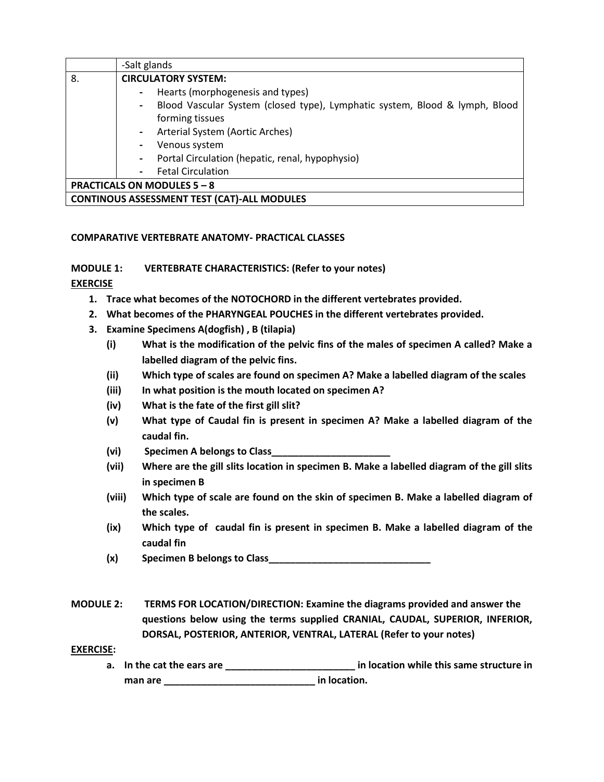|                                                    | -Salt glands                                                                                  |
|----------------------------------------------------|-----------------------------------------------------------------------------------------------|
| 8.                                                 | <b>CIRCULATORY SYSTEM:</b>                                                                    |
|                                                    | Hearts (morphogenesis and types)<br>$\blacksquare$                                            |
|                                                    | Blood Vascular System (closed type), Lymphatic system, Blood & lymph, Blood<br>$\blacksquare$ |
|                                                    | forming tissues                                                                               |
|                                                    | Arterial System (Aortic Arches)<br>$\blacksquare$                                             |
|                                                    | Venous system<br>$\blacksquare$                                                               |
|                                                    | Portal Circulation (hepatic, renal, hypophysio)<br>$\blacksquare$                             |
|                                                    | <b>Fetal Circulation</b><br>$\blacksquare$                                                    |
| <b>PRACTICALS ON MODULES 5 - 8</b>                 |                                                                                               |
| <b>CONTINOUS ASSESSMENT TEST (CAT)-ALL MODULES</b> |                                                                                               |

### **COMPARATIVE VERTEBRATE ANATOMY- PRACTICAL CLASSES**

**MODULE 1: VERTEBRATE CHARACTERISTICS: (Refer to your notes)**

### **EXERCISE**

- **1. Trace what becomes of the NOTOCHORD in the different vertebrates provided.**
- **2. What becomes of the PHARYNGEAL POUCHES in the different vertebrates provided.**
- **3. Examine Specimens A(dogfish) , B (tilapia)**
	- **(i) What is the modification of the pelvic fins of the males of specimen A called? Make a labelled diagram of the pelvic fins.**
	- **(ii) Which type of scales are found on specimen A? Make a labelled diagram of the scales**
	- **(iii) In what position is the mouth located on specimen A?**
	- **(iv) What is the fate of the first gill slit?**
	- **(v) What type of Caudal fin is present in specimen A? Make a labelled diagram of the caudal fin.**
	- **(vi) Specimen A belongs to Class\_\_\_\_\_\_\_\_\_\_\_\_\_\_\_\_\_\_\_\_\_\_**
	- **(vii) Where are the gill slits location in specimen B. Make a labelled diagram of the gill slits in specimen B**
	- **(viii) Which type of scale are found on the skin of specimen B. Make a labelled diagram of the scales.**
	- **(ix) Which type of caudal fin is present in specimen B. Make a labelled diagram of the caudal fin**
	- **(x) Specimen B belongs to Class\_\_\_\_\_\_\_\_\_\_\_\_\_\_\_\_\_\_\_\_\_\_\_\_\_\_\_\_\_\_**
- **MODULE 2: TERMS FOR LOCATION/DIRECTION: Examine the diagrams provided and answer the questions below using the terms supplied CRANIAL, CAUDAL, SUPERIOR, INFERIOR, DORSAL, POSTERIOR, ANTERIOR, VENTRAL, LATERAL (Refer to your notes)**

### **EXERCISE:**

**a. In the cat the ears are \_\_\_\_\_\_\_\_\_\_\_\_\_\_\_\_\_\_\_\_\_\_\_\_ in location while this same structure in man are \_\_\_\_\_\_\_\_\_\_\_\_\_\_\_\_\_\_\_\_\_\_\_\_\_\_\_\_ in location.**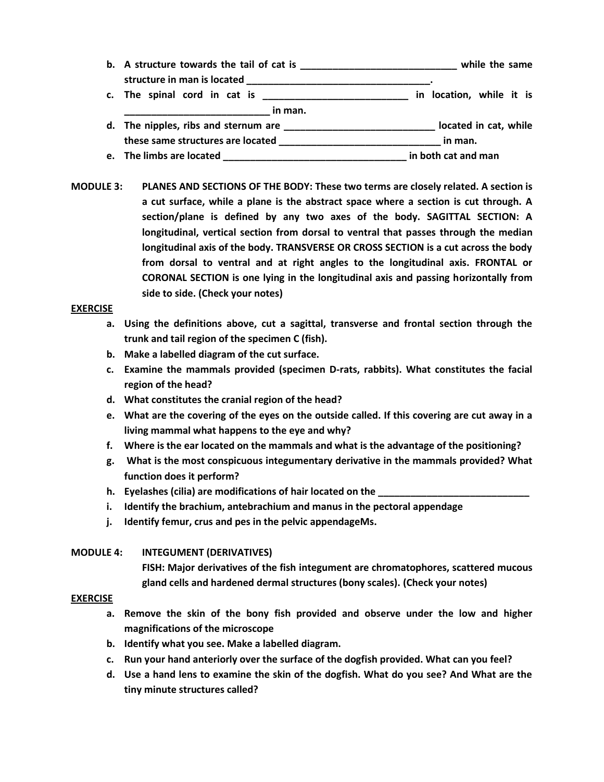- **b. A structure towards the tail of cat is \_\_\_\_\_\_\_\_\_\_\_\_\_\_\_\_\_\_\_\_\_\_\_\_\_\_\_\_\_ while the same structure in man is located \_\_\_\_\_\_\_\_\_\_\_\_\_\_\_\_\_\_\_\_\_\_\_\_\_\_\_\_\_\_\_\_\_\_. c. The spinal cord in cat is \_\_\_\_\_\_\_\_\_\_\_\_\_\_\_\_\_\_\_\_\_\_\_\_\_\_\_ in location, while it is**
- $\frac{1}{2}$  in man. **d. The nipples, ribs and sternum are \_\_\_\_\_\_\_\_\_\_\_\_\_\_\_\_\_\_\_\_\_\_\_\_\_\_\_\_ located in cat, while these same structures are located \_\_\_\_\_\_\_\_\_\_\_\_\_\_\_\_\_\_\_\_\_\_\_\_\_\_\_\_\_\_ in man.**
- **e. The limbs are located \_\_\_\_\_\_\_\_\_\_\_\_\_\_\_\_\_\_\_\_\_\_\_\_\_\_\_\_\_\_\_\_\_\_ in both cat and man**
- **MODULE 3: PLANES AND SECTIONS OF THE BODY: These two terms are closely related. A section is a cut surface, while a plane is the abstract space where a section is cut through. A section/plane is defined by any two axes of the body. SAGITTAL SECTION: A longitudinal, vertical section from dorsal to ventral that passes through the median longitudinal axis of the body. TRANSVERSE OR CROSS SECTION is a cut across the body from dorsal to ventral and at right angles to the longitudinal axis. FRONTAL or CORONAL SECTION is one lying in the longitudinal axis and passing horizontally from side to side. (Check your notes)**

#### **EXERCISE**

- **a. Using the definitions above, cut a sagittal, transverse and frontal section through the trunk and tail region of the specimen C (fish).**
- **b. Make a labelled diagram of the cut surface.**
- **c. Examine the mammals provided (specimen D-rats, rabbits). What constitutes the facial region of the head?**
- **d. What constitutes the cranial region of the head?**
- **e. What are the covering of the eyes on the outside called. If this covering are cut away in a living mammal what happens to the eye and why?**
- **f. Where is the ear located on the mammals and what is the advantage of the positioning?**
- **g. What is the most conspicuous integumentary derivative in the mammals provided? What function does it perform?**
- **h. Eyelashes (cilia) are modifications of hair located on the \_\_\_\_\_\_\_\_\_\_\_\_\_\_\_\_\_\_\_\_\_\_\_\_\_\_\_\_**
- **i. Identify the brachium, antebrachium and manus in the pectoral appendage**
- **j. Identify femur, crus and pes in the pelvic appendageMs.**

### **MODULE 4: INTEGUMENT (DERIVATIVES)**

**FISH: Major derivatives of the fish integument are chromatophores, scattered mucous gland cells and hardened dermal structures (bony scales). (Check your notes)**

#### **EXERCISE**

- **a. Remove the skin of the bony fish provided and observe under the low and higher magnifications of the microscope**
- **b. Identify what you see. Make a labelled diagram.**
- **c. Run your hand anteriorly over the surface of the dogfish provided. What can you feel?**
- **d. Use a hand lens to examine the skin of the dogfish. What do you see? And What are the tiny minute structures called?**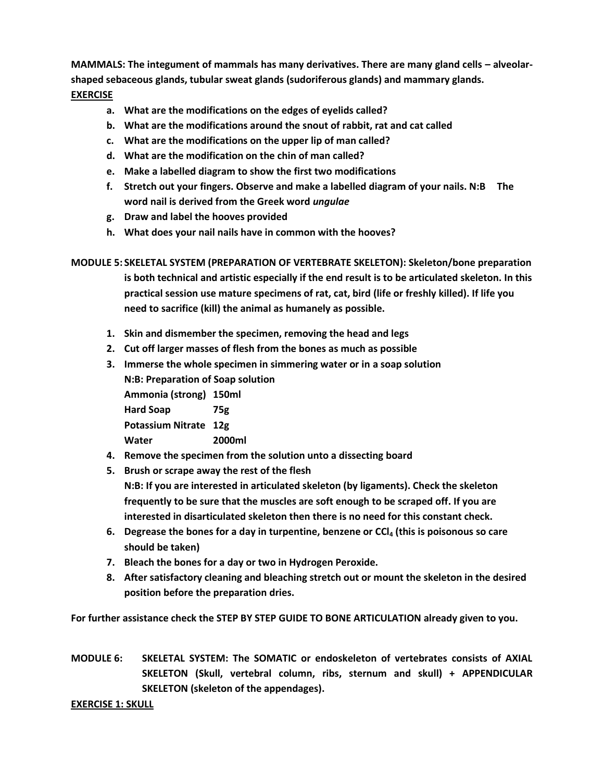MAMMALS: The integument of mammals has many derivatives. There are many gland cells - alveolar**shaped sebaceous glands, tubular sweat glands (sudoriferous glands) and mammary glands. EXERCISE**

- **a. What are the modifications on the edges of eyelids called?**
- **b. What are the modifications around the snout of rabbit, rat and cat called**
- **c. What are the modifications on the upper lip of man called?**
- **d. What are the modification on the chin of man called?**
- **e. Make a labelled diagram to show the first two modifications**
- **f. Stretch out your fingers. Observe and make a labelled diagram of your nails. N:B The word nail is derived from the Greek word** *ungulae*
- **g. Draw and label the hooves provided**
- **h. What does your nail nails have in common with the hooves?**

**MODULE 5: SKELETAL SYSTEM (PREPARATION OF VERTEBRATE SKELETON): Skeleton/bone preparation is both technical and artistic especially if the end result is to be articulated skeleton. In this practical session use mature specimens of rat, cat, bird (life or freshly killed). If life you need to sacrifice (kill) the animal as humanely as possible.**

- **1. Skin and dismember the specimen, removing the head and legs**
- **2. Cut off larger masses of flesh from the bones as much as possible**
- **3. Immerse the whole specimen in simmering water or in a soap solution N:B: Preparation of Soap solution Ammonia (strong) 150ml Hard Soap 75g Potassium Nitrate 12g Water 2000ml 4. Remove the specimen from the solution unto a dissecting board**
- **5. Brush or scrape away the rest of the flesh**

**N:B: If you are interested in articulated skeleton (by ligaments). Check the skeleton frequently to be sure that the muscles are soft enough to be scraped off. If you are interested in disarticulated skeleton then there is no need for this constant check.**

- **6. Degrease the bones for a day in turpentine, benzene or CCl<sup>4</sup> (this is poisonous so care should be taken)**
- **7. Bleach the bones for a day or two in Hydrogen Peroxide.**
- **8. After satisfactory cleaning and bleaching stretch out or mount the skeleton in the desired position before the preparation dries.**

**For further assistance check the STEP BY STEP GUIDE TO BONE ARTICULATION already given to you.**

**MODULE 6: SKELETAL SYSTEM: The SOMATIC or endoskeleton of vertebrates consists of AXIAL SKELETON (Skull, vertebral column, ribs, sternum and skull) + APPENDICULAR SKELETON (skeleton of the appendages).** 

#### **EXERCISE 1: SKULL**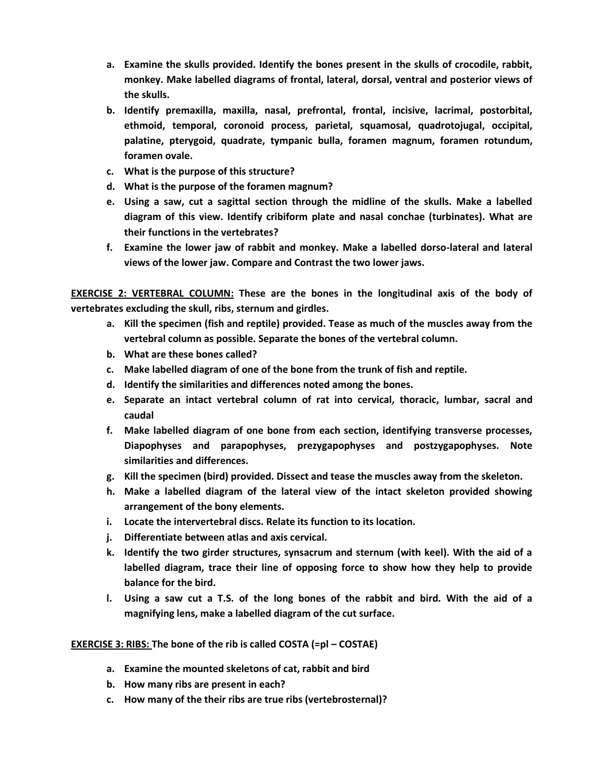- **a. Examine the skulls provided. Identify the bones present in the skulls of crocodile, rabbit, monkey. Make labelled diagrams of frontal, lateral, dorsal, ventral and posterior views of the skulls.**
- **b. Identify premaxilla, maxilla, nasal, prefrontal, frontal, incisive, lacrimal, postorbital, ethmoid, temporal, coronoid process, parietal, squamosal, quadrotojugal, occipital, palatine, pterygoid, quadrate, tympanic bulla, foramen magnum, foramen rotundum, foramen ovale.**
- **c. What is the purpose of this structure?**
- **d. What is the purpose of the foramen magnum?**
- **e. Using a saw, cut a sagittal section through the midline of the skulls. Make a labelled diagram of this view. Identify cribiform plate and nasal conchae (turbinates). What are their functions in the vertebrates?**
- **f. Examine the lower jaw of rabbit and monkey. Make a labelled dorso-lateral and lateral views of the lower jaw. Compare and Contrast the two lower jaws.**

**EXERCISE 2: VERTEBRAL COLUMN: These are the bones in the longitudinal axis of the body of vertebrates excluding the skull, ribs, sternum and girdles.**

- **a. Kill the specimen (fish and reptile) provided. Tease as much of the muscles away from the vertebral column as possible. Separate the bones of the vertebral column.**
- **b. What are these bones called?**
- **c. Make labelled diagram of one of the bone from the trunk of fish and reptile.**
- **d. Identify the similarities and differences noted among the bones.**
- **e. Separate an intact vertebral column of rat into cervical, thoracic, lumbar, sacral and caudal**
- **f. Make labelled diagram of one bone from each section, identifying transverse processes, Diapophyses and parapophyses, prezygapophyses and postzygapophyses. Note similarities and differences.**
- **g. Kill the specimen (bird) provided. Dissect and tease the muscles away from the skeleton.**
- **h. Make a labelled diagram of the lateral view of the intact skeleton provided showing arrangement of the bony elements.**
- **i. Locate the intervertebral discs. Relate its function to its location.**
- **j. Differentiate between atlas and axis cervical.**
- **k. Identify the two girder structures, synsacrum and sternum (with keel). With the aid of a labelled diagram, trace their line of opposing force to show how they help to provide balance for the bird.**
- **l. Using a saw cut a T.S. of the long bones of the rabbit and bird. With the aid of a magnifying lens, make a labelled diagram of the cut surface.**

### **EXERCISE 3: RIBS: The bone of the rib is called COSTA (=pl – COSTAE)**

- **a. Examine the mounted skeletons of cat, rabbit and bird**
- **b. How many ribs are present in each?**
- **c. How many of the their ribs are true ribs (vertebrosternal)?**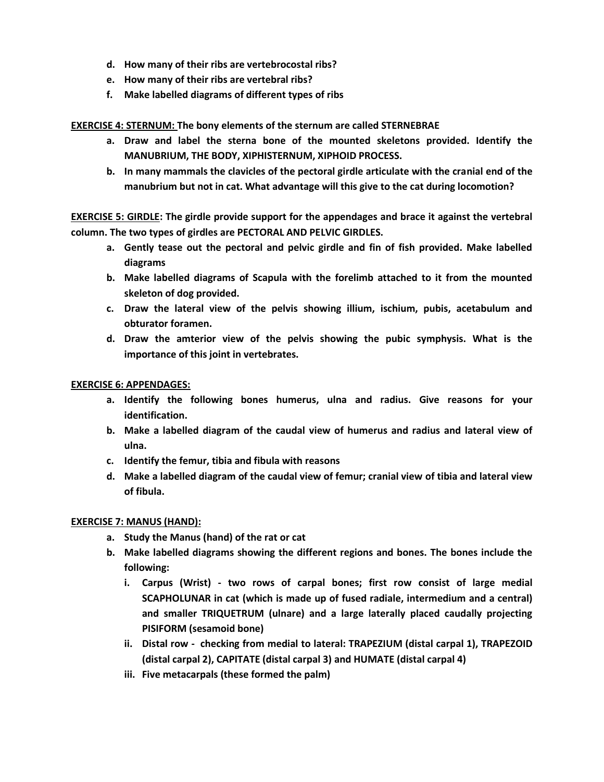- **d. How many of their ribs are vertebrocostal ribs?**
- **e. How many of their ribs are vertebral ribs?**
- **f. Make labelled diagrams of different types of ribs**

### **EXERCISE 4: STERNUM: The bony elements of the sternum are called STERNEBRAE**

- **a. Draw and label the sterna bone of the mounted skeletons provided. Identify the MANUBRIUM, THE BODY, XIPHISTERNUM, XIPHOID PROCESS.**
- **b. In many mammals the clavicles of the pectoral girdle articulate with the cranial end of the manubrium but not in cat. What advantage will this give to the cat during locomotion?**

**EXERCISE 5: GIRDLE: The girdle provide support for the appendages and brace it against the vertebral column. The two types of girdles are PECTORAL AND PELVIC GIRDLES.**

- **a. Gently tease out the pectoral and pelvic girdle and fin of fish provided. Make labelled diagrams**
- **b. Make labelled diagrams of Scapula with the forelimb attached to it from the mounted skeleton of dog provided.**
- **c. Draw the lateral view of the pelvis showing illium, ischium, pubis, acetabulum and obturator foramen.**
- **d. Draw the amterior view of the pelvis showing the pubic symphysis. What is the importance of this joint in vertebrates.**

### **EXERCISE 6: APPENDAGES:**

- **a. Identify the following bones humerus, ulna and radius. Give reasons for your identification.**
- **b. Make a labelled diagram of the caudal view of humerus and radius and lateral view of ulna.**
- **c. Identify the femur, tibia and fibula with reasons**
- **d. Make a labelled diagram of the caudal view of femur; cranial view of tibia and lateral view of fibula.**

### **EXERCISE 7: MANUS (HAND):**

- **a. Study the Manus (hand) of the rat or cat**
- **b. Make labelled diagrams showing the different regions and bones. The bones include the following:**
	- **i. Carpus (Wrist) - two rows of carpal bones; first row consist of large medial SCAPHOLUNAR in cat (which is made up of fused radiale, intermedium and a central) and smaller TRIQUETRUM (ulnare) and a large laterally placed caudally projecting PISIFORM (sesamoid bone)**
	- **ii. Distal row checking from medial to lateral: TRAPEZIUM (distal carpal 1), TRAPEZOID (distal carpal 2), CAPITATE (distal carpal 3) and HUMATE (distal carpal 4)**
	- **iii. Five metacarpals (these formed the palm)**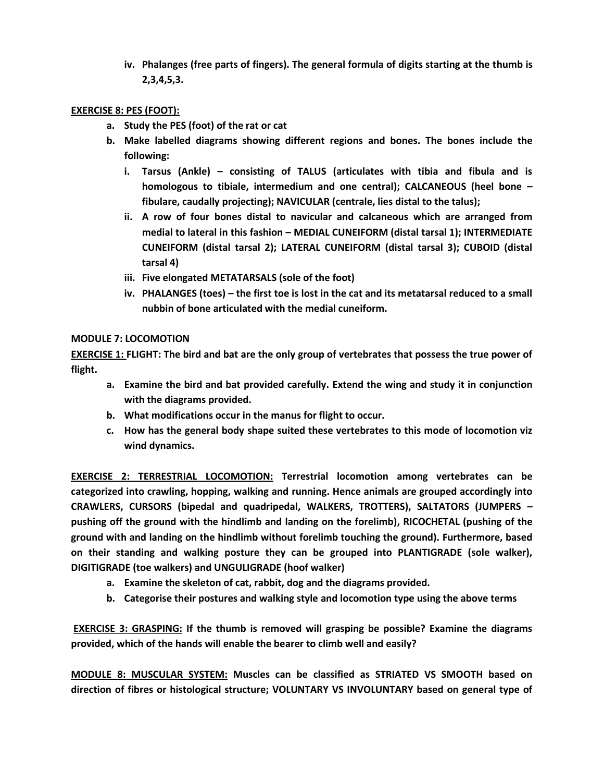**iv. Phalanges (free parts of fingers). The general formula of digits starting at the thumb is 2,3,4,5,3.**

### **EXERCISE 8: PES (FOOT):**

- **a. Study the PES (foot) of the rat or cat**
- **b. Make labelled diagrams showing different regions and bones. The bones include the following:**
	- **i. Tarsus (Ankle) – consisting of TALUS (articulates with tibia and fibula and is homologous to tibiale, intermedium and one central); CALCANEOUS (heel bone – fibulare, caudally projecting); NAVICULAR (centrale, lies distal to the talus);**
	- **ii. A row of four bones distal to navicular and calcaneous which are arranged from medial to lateral in this fashion – MEDIAL CUNEIFORM (distal tarsal 1); INTERMEDIATE CUNEIFORM (distal tarsal 2); LATERAL CUNEIFORM (distal tarsal 3); CUBOID (distal tarsal 4)**
	- **iii. Five elongated METATARSALS (sole of the foot)**
	- **iv. PHALANGES (toes) – the first toe is lost in the cat and its metatarsal reduced to a small nubbin of bone articulated with the medial cuneiform.**

### **MODULE 7: LOCOMOTION**

**EXERCISE 1: FLIGHT: The bird and bat are the only group of vertebrates that possess the true power of flight.** 

- **a. Examine the bird and bat provided carefully. Extend the wing and study it in conjunction with the diagrams provided.**
- **b. What modifications occur in the manus for flight to occur.**
- **c. How has the general body shape suited these vertebrates to this mode of locomotion viz wind dynamics.**

**EXERCISE 2: TERRESTRIAL LOCOMOTION: Terrestrial locomotion among vertebrates can be categorized into crawling, hopping, walking and running. Hence animals are grouped accordingly into CRAWLERS, CURSORS (bipedal and quadripedal, WALKERS, TROTTERS), SALTATORS (JUMPERS – pushing off the ground with the hindlimb and landing on the forelimb), RICOCHETAL (pushing of the ground with and landing on the hindlimb without forelimb touching the ground). Furthermore, based on their standing and walking posture they can be grouped into PLANTIGRADE (sole walker), DIGITIGRADE (toe walkers) and UNGULIGRADE (hoof walker)**

- **a. Examine the skeleton of cat, rabbit, dog and the diagrams provided.**
- **b. Categorise their postures and walking style and locomotion type using the above terms**

**EXERCISE 3: GRASPING: If the thumb is removed will grasping be possible? Examine the diagrams provided, which of the hands will enable the bearer to climb well and easily?**

**MODULE 8: MUSCULAR SYSTEM: Muscles can be classified as STRIATED VS SMOOTH based on direction of fibres or histological structure; VOLUNTARY VS INVOLUNTARY based on general type of**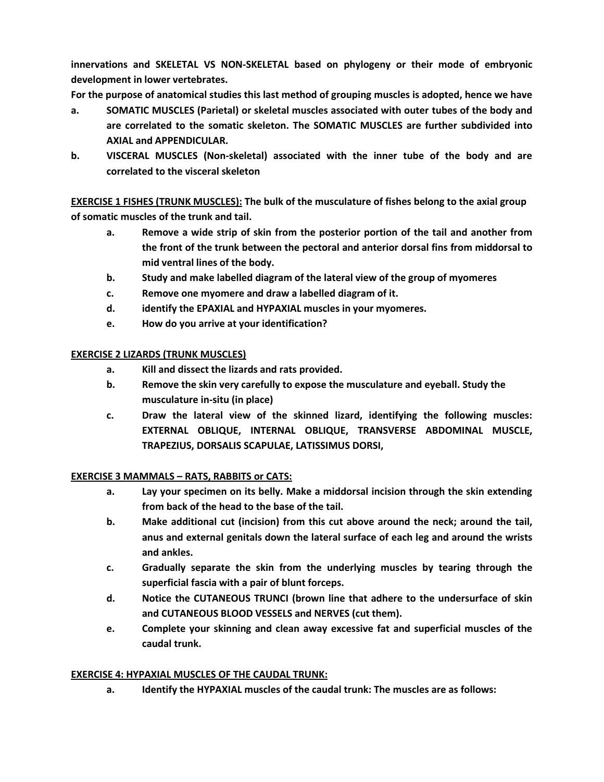**innervations and SKELETAL VS NON-SKELETAL based on phylogeny or their mode of embryonic development in lower vertebrates.** 

**For the purpose of anatomical studies this last method of grouping muscles is adopted, hence we have** 

- **a. SOMATIC MUSCLES (Parietal) or skeletal muscles associated with outer tubes of the body and are correlated to the somatic skeleton. The SOMATIC MUSCLES are further subdivided into AXIAL and APPENDICULAR.**
- **b. VISCERAL MUSCLES (Non-skeletal) associated with the inner tube of the body and are correlated to the visceral skeleton**

**EXERCISE 1 FISHES (TRUNK MUSCLES): The bulk of the musculature of fishes belong to the axial group of somatic muscles of the trunk and tail.**

- **a. Remove a wide strip of skin from the posterior portion of the tail and another from the front of the trunk between the pectoral and anterior dorsal fins from middorsal to mid ventral lines of the body.**
- **b. Study and make labelled diagram of the lateral view of the group of myomeres**
- **c. Remove one myomere and draw a labelled diagram of it.**
- **d. identify the EPAXIAL and HYPAXIAL muscles in your myomeres.**
- **e. How do you arrive at your identification?**

## **EXERCISE 2 LIZARDS (TRUNK MUSCLES)**

- **a. Kill and dissect the lizards and rats provided.**
- **b. Remove the skin very carefully to expose the musculature and eyeball. Study the musculature in-situ (in place)**
- **c. Draw the lateral view of the skinned lizard, identifying the following muscles: EXTERNAL OBLIQUE, INTERNAL OBLIQUE, TRANSVERSE ABDOMINAL MUSCLE, TRAPEZIUS, DORSALIS SCAPULAE, LATISSIMUS DORSI,**

### **EXERCISE 3 MAMMALS – RATS, RABBITS or CATS:**

- **a. Lay your specimen on its belly. Make a middorsal incision through the skin extending from back of the head to the base of the tail.**
- **b. Make additional cut (incision) from this cut above around the neck; around the tail, anus and external genitals down the lateral surface of each leg and around the wrists and ankles.**
- **c. Gradually separate the skin from the underlying muscles by tearing through the superficial fascia with a pair of blunt forceps.**
- **d. Notice the CUTANEOUS TRUNCI (brown line that adhere to the undersurface of skin and CUTANEOUS BLOOD VESSELS and NERVES (cut them).**
- **e. Complete your skinning and clean away excessive fat and superficial muscles of the caudal trunk.**

### **EXERCISE 4: HYPAXIAL MUSCLES OF THE CAUDAL TRUNK:**

**a. Identify the HYPAXIAL muscles of the caudal trunk: The muscles are as follows:**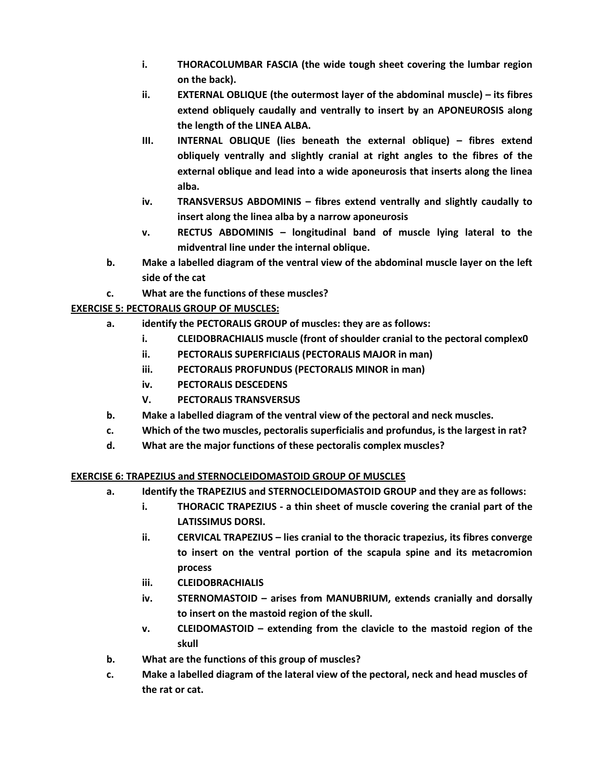- **i. THORACOLUMBAR FASCIA (the wide tough sheet covering the lumbar region on the back).**
- **ii. EXTERNAL OBLIQUE (the outermost layer of the abdominal muscle) – its fibres extend obliquely caudally and ventrally to insert by an APONEUROSIS along the length of the LINEA ALBA.**
- **III. INTERNAL OBLIQUE (lies beneath the external oblique) – fibres extend obliquely ventrally and slightly cranial at right angles to the fibres of the external oblique and lead into a wide aponeurosis that inserts along the linea alba.**
- **iv. TRANSVERSUS ABDOMINIS – fibres extend ventrally and slightly caudally to insert along the linea alba by a narrow aponeurosis**
- **v. RECTUS ABDOMINIS – longitudinal band of muscle lying lateral to the midventral line under the internal oblique.**
- **b. Make a labelled diagram of the ventral view of the abdominal muscle layer on the left side of the cat**
- **c. What are the functions of these muscles?**

# **EXERCISE 5: PECTORALIS GROUP OF MUSCLES:**

- **a. identify the PECTORALIS GROUP of muscles: they are as follows:**
	- **i. CLEIDOBRACHIALIS muscle (front of shoulder cranial to the pectoral complex0**
	- **ii. PECTORALIS SUPERFICIALIS (PECTORALIS MAJOR in man)**
	- **iii. PECTORALIS PROFUNDUS (PECTORALIS MINOR in man)**
	- **iv. PECTORALIS DESCEDENS**
	- **V. PECTORALIS TRANSVERSUS**
- **b. Make a labelled diagram of the ventral view of the pectoral and neck muscles.**
- **c. Which of the two muscles, pectoralis superficialis and profundus, is the largest in rat?**
- **d. What are the major functions of these pectoralis complex muscles?**

# **EXERCISE 6: TRAPEZIUS and STERNOCLEIDOMASTOID GROUP OF MUSCLES**

- **a. Identify the TRAPEZIUS and STERNOCLEIDOMASTOID GROUP and they are as follows:**
	- **i. THORACIC TRAPEZIUS - a thin sheet of muscle covering the cranial part of the LATISSIMUS DORSI.**
	- **ii. CERVICAL TRAPEZIUS – lies cranial to the thoracic trapezius, its fibres converge to insert on the ventral portion of the scapula spine and its metacromion process**
	- **iii. CLEIDOBRACHIALIS**
	- **iv. STERNOMASTOID – arises from MANUBRIUM, extends cranially and dorsally to insert on the mastoid region of the skull.**
	- **v. CLEIDOMASTOID – extending from the clavicle to the mastoid region of the skull**
- **b. What are the functions of this group of muscles?**
- **c. Make a labelled diagram of the lateral view of the pectoral, neck and head muscles of the rat or cat.**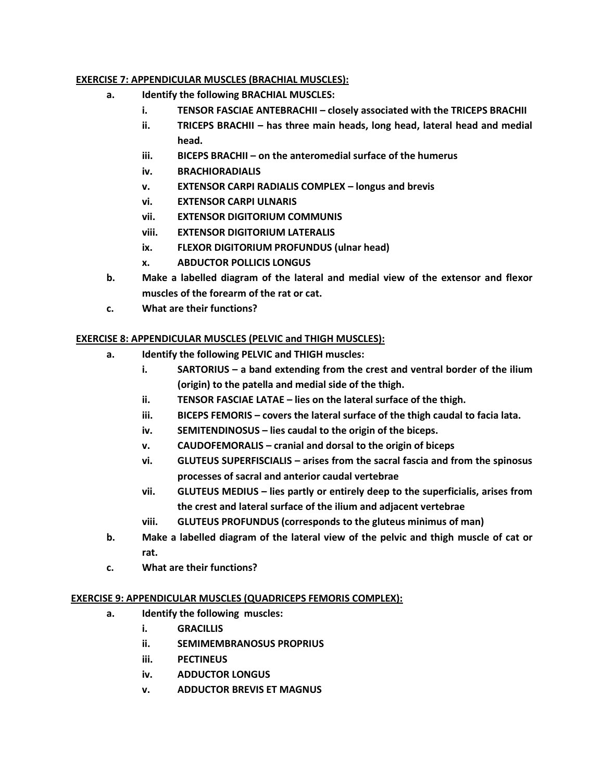### **EXERCISE 7: APPENDICULAR MUSCLES (BRACHIAL MUSCLES):**

- **a. Identify the following BRACHIAL MUSCLES:**
	- **i. TENSOR FASCIAE ANTEBRACHII – closely associated with the TRICEPS BRACHII**
	- **ii. TRICEPS BRACHII** has three main heads, long head, lateral head and medial **head.**
	- **iii. BICEPS BRACHII – on the anteromedial surface of the humerus**
	- **iv. BRACHIORADIALIS**
	- **v. EXTENSOR CARPI RADIALIS COMPLEX – longus and brevis**
	- **vi. EXTENSOR CARPI ULNARIS**
	- **vii. EXTENSOR DIGITORIUM COMMUNIS**
	- **viii. EXTENSOR DIGITORIUM LATERALIS**
	- **ix. FLEXOR DIGITORIUM PROFUNDUS (ulnar head)**
	- **x. ABDUCTOR POLLICIS LONGUS**
- **b. Make a labelled diagram of the lateral and medial view of the extensor and flexor muscles of the forearm of the rat or cat.**
- **c. What are their functions?**

## **EXERCISE 8: APPENDICULAR MUSCLES (PELVIC and THIGH MUSCLES):**

- **a. Identify the following PELVIC and THIGH muscles:**
	- **i. SARTORIUS – a band extending from the crest and ventral border of the ilium (origin) to the patella and medial side of the thigh.**
	- **ii. TENSOR FASCIAE LATAE – lies on the lateral surface of the thigh.**
	- **iii. BICEPS FEMORIS – covers the lateral surface of the thigh caudal to facia lata.**
	- **iv. SEMITENDINOSUS – lies caudal to the origin of the biceps.**
	- **v. CAUDOFEMORALIS – cranial and dorsal to the origin of biceps**
	- **vi. GLUTEUS SUPERFISCIALIS – arises from the sacral fascia and from the spinosus processes of sacral and anterior caudal vertebrae**
	- **vii. GLUTEUS MEDIUS – lies partly or entirely deep to the superficialis, arises from the crest and lateral surface of the ilium and adjacent vertebrae**
	- **viii. GLUTEUS PROFUNDUS (corresponds to the gluteus minimus of man)**
- **b. Make a labelled diagram of the lateral view of the pelvic and thigh muscle of cat or rat.**
- **c. What are their functions?**

### **EXERCISE 9: APPENDICULAR MUSCLES (QUADRICEPS FEMORIS COMPLEX):**

- **a. Identify the following muscles:**
	- **i. GRACILLIS**
	- **ii. SEMIMEMBRANOSUS PROPRIUS**
	- **iii. PECTINEUS**
	- **iv. ADDUCTOR LONGUS**
	- **v. ADDUCTOR BREVIS ET MAGNUS**